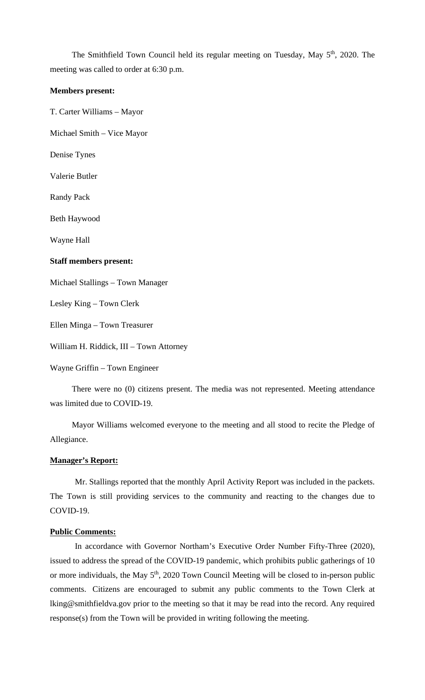The Smithfield Town Council held its regular meeting on Tuesday, May 5<sup>th</sup>, 2020. The meeting was called to order at 6:30 p.m.

#### **Members present:**

T. Carter Williams – Mayor

Michael Smith – Vice Mayor

Denise Tynes

Valerie Butler

Randy Pack

Beth Haywood

Wayne Hall

#### **Staff members present:**

Michael Stallings – Town Manager

Lesley King – Town Clerk

Ellen Minga – Town Treasurer

William H. Riddick, III – Town Attorney

Wayne Griffin – Town Engineer

There were no (0) citizens present. The media was not represented. Meeting attendance was limited due to COVID-19.

Mayor Williams welcomed everyone to the meeting and all stood to recite the Pledge of Allegiance.

#### **Manager's Report:**

Mr. Stallings reported that the monthly April Activity Report was included in the packets. The Town is still providing services to the community and reacting to the changes due to COVID-19.

#### **Public Comments:**

In accordance with Governor Northam's Executive Order Number Fifty-Three (2020), issued to address the spread of the COVID-19 pandemic, which prohibits public gatherings of 10 or more individuals, the May 5<sup>th</sup>, 2020 Town Council Meeting will be closed to in-person public comments. Citizens are encouraged to submit any public comments to the Town Clerk at lking@smithfieldva.gov prior to the meeting so that it may be read into the record. Any required response(s) from the Town will be provided in writing following the meeting.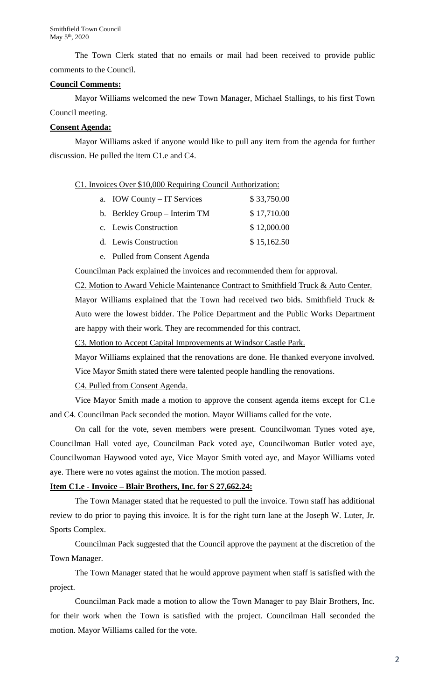The Town Clerk stated that no emails or mail had been received to provide public comments to the Council.

### **Council Comments:**

Mayor Williams welcomed the new Town Manager, Michael Stallings, to his first Town Council meeting.

# **Consent Agenda:**

Mayor Williams asked if anyone would like to pull any item from the agenda for further discussion. He pulled the item C1.e and C4.

### C1. Invoices Over \$10,000 Requiring Council Authorization:

| a. IOW County – IT Services   | \$33,750.00 |
|-------------------------------|-------------|
| b. Berkley Group – Interim TM | \$17,710.00 |
| c. Lewis Construction         | \$12,000.00 |
| d. Lewis Construction         | \$15,162.50 |
|                               |             |

e. Pulled from Consent Agenda

Councilman Pack explained the invoices and recommended them for approval.

# C2. Motion to Award Vehicle Maintenance Contract to Smithfield Truck & Auto Center.

Mayor Williams explained that the Town had received two bids. Smithfield Truck & Auto were the lowest bidder. The Police Department and the Public Works Department are happy with their work. They are recommended for this contract.

C3. Motion to Accept Capital Improvements at Windsor Castle Park.

Mayor Williams explained that the renovations are done. He thanked everyone involved.

Vice Mayor Smith stated there were talented people handling the renovations.

C4. Pulled from Consent Agenda.

Vice Mayor Smith made a motion to approve the consent agenda items except for C1.e and C4. Councilman Pack seconded the motion. Mayor Williams called for the vote.

On call for the vote, seven members were present. Councilwoman Tynes voted aye, Councilman Hall voted aye, Councilman Pack voted aye, Councilwoman Butler voted aye, Councilwoman Haywood voted aye, Vice Mayor Smith voted aye, and Mayor Williams voted aye. There were no votes against the motion. The motion passed.

# **Item C1.e - Invoice – Blair Brothers, Inc. for \$ 27,662.24:**

The Town Manager stated that he requested to pull the invoice. Town staff has additional review to do prior to paying this invoice. It is for the right turn lane at the Joseph W. Luter, Jr. Sports Complex.

Councilman Pack suggested that the Council approve the payment at the discretion of the Town Manager.

The Town Manager stated that he would approve payment when staff is satisfied with the project.

Councilman Pack made a motion to allow the Town Manager to pay Blair Brothers, Inc. for their work when the Town is satisfied with the project. Councilman Hall seconded the motion. Mayor Williams called for the vote.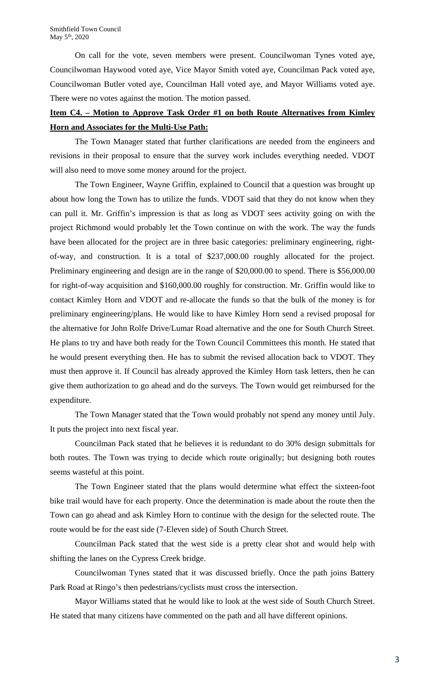On call for the vote, seven members were present. Councilwoman Tynes voted aye, Councilwoman Haywood voted aye, Vice Mayor Smith voted aye, Councilman Pack voted aye, Councilwoman Butler voted aye, Councilman Hall voted aye, and Mayor Williams voted aye. There were no votes against the motion. The motion passed.

# **Item C4. – Motion to Approve Task Order #1 on both Route Alternatives from Kimley Horn and Associates for the Multi-Use Path:**

The Town Manager stated that further clarifications are needed from the engineers and revisions in their proposal to ensure that the survey work includes everything needed. VDOT will also need to move some money around for the project.

The Town Engineer, Wayne Griffin, explained to Council that a question was brought up about how long the Town has to utilize the funds. VDOT said that they do not know when they can pull it. Mr. Griffin's impression is that as long as VDOT sees activity going on with the project Richmond would probably let the Town continue on with the work. The way the funds have been allocated for the project are in three basic categories: preliminary engineering, rightof-way, and construction. It is a total of \$237,000.00 roughly allocated for the project. Preliminary engineering and design are in the range of \$20,000.00 to spend. There is \$56,000.00 for right-of-way acquisition and \$160,000.00 roughly for construction. Mr. Griffin would like to contact Kimley Horn and VDOT and re-allocate the funds so that the bulk of the money is for preliminary engineering/plans. He would like to have Kimley Horn send a revised proposal for the alternative for John Rolfe Drive/Lumar Road alternative and the one for South Church Street. He plans to try and have both ready for the Town Council Committees this month. He stated that he would present everything then. He has to submit the revised allocation back to VDOT. They must then approve it. If Council has already approved the Kimley Horn task letters, then he can give them authorization to go ahead and do the surveys. The Town would get reimbursed for the expenditure.

The Town Manager stated that the Town would probably not spend any money until July. It puts the project into next fiscal year.

Councilman Pack stated that he believes it is redundant to do 30% design submittals for both routes. The Town was trying to decide which route originally; but designing both routes seems wasteful at this point.

The Town Engineer stated that the plans would determine what effect the sixteen-foot bike trail would have for each property. Once the determination is made about the route then the Town can go ahead and ask Kimley Horn to continue with the design for the selected route. The route would be for the east side (7-Eleven side) of South Church Street.

Councilman Pack stated that the west side is a pretty clear shot and would help with shifting the lanes on the Cypress Creek bridge.

Councilwoman Tynes stated that it was discussed briefly. Once the path joins Battery Park Road at Ringo's then pedestrians/cyclists must cross the intersection.

Mayor Williams stated that he would like to look at the west side of South Church Street. He stated that many citizens have commented on the path and all have different opinions.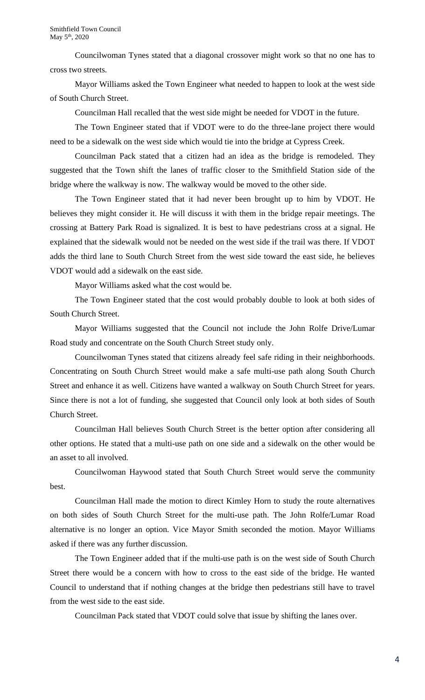Councilwoman Tynes stated that a diagonal crossover might work so that no one has to cross two streets.

Mayor Williams asked the Town Engineer what needed to happen to look at the west side of South Church Street.

Councilman Hall recalled that the west side might be needed for VDOT in the future.

The Town Engineer stated that if VDOT were to do the three-lane project there would need to be a sidewalk on the west side which would tie into the bridge at Cypress Creek.

Councilman Pack stated that a citizen had an idea as the bridge is remodeled. They suggested that the Town shift the lanes of traffic closer to the Smithfield Station side of the bridge where the walkway is now. The walkway would be moved to the other side.

The Town Engineer stated that it had never been brought up to him by VDOT. He believes they might consider it. He will discuss it with them in the bridge repair meetings. The crossing at Battery Park Road is signalized. It is best to have pedestrians cross at a signal. He explained that the sidewalk would not be needed on the west side if the trail was there. If VDOT adds the third lane to South Church Street from the west side toward the east side, he believes VDOT would add a sidewalk on the east side.

Mayor Williams asked what the cost would be.

The Town Engineer stated that the cost would probably double to look at both sides of South Church Street.

Mayor Williams suggested that the Council not include the John Rolfe Drive/Lumar Road study and concentrate on the South Church Street study only.

Councilwoman Tynes stated that citizens already feel safe riding in their neighborhoods. Concentrating on South Church Street would make a safe multi-use path along South Church Street and enhance it as well. Citizens have wanted a walkway on South Church Street for years. Since there is not a lot of funding, she suggested that Council only look at both sides of South Church Street.

Councilman Hall believes South Church Street is the better option after considering all other options. He stated that a multi-use path on one side and a sidewalk on the other would be an asset to all involved.

Councilwoman Haywood stated that South Church Street would serve the community best.

Councilman Hall made the motion to direct Kimley Horn to study the route alternatives on both sides of South Church Street for the multi-use path. The John Rolfe/Lumar Road alternative is no longer an option. Vice Mayor Smith seconded the motion. Mayor Williams asked if there was any further discussion.

The Town Engineer added that if the multi-use path is on the west side of South Church Street there would be a concern with how to cross to the east side of the bridge. He wanted Council to understand that if nothing changes at the bridge then pedestrians still have to travel from the west side to the east side.

Councilman Pack stated that VDOT could solve that issue by shifting the lanes over.